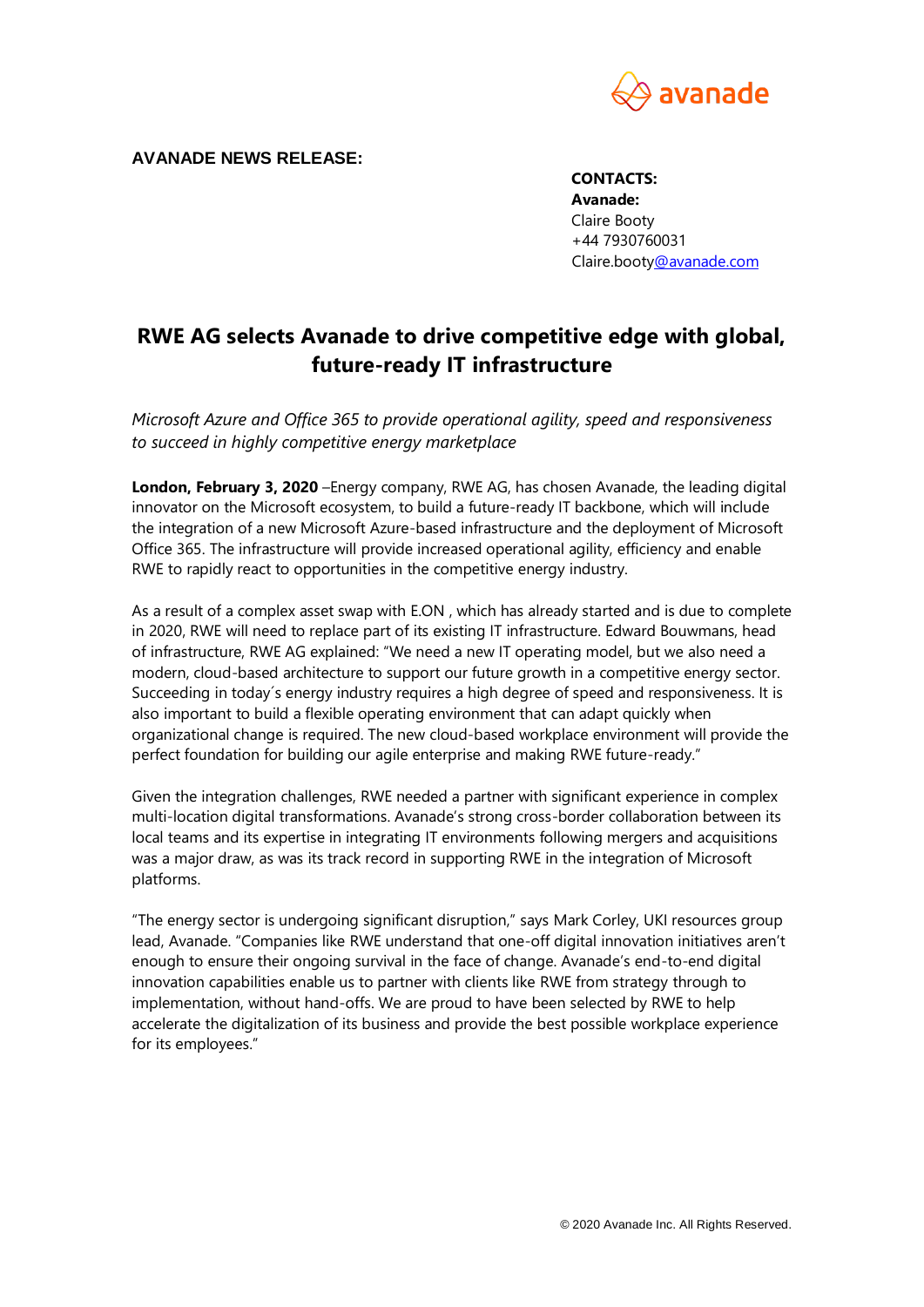

**AVANADE NEWS RELEASE:**

**CONTACTS: Avanade:**  Claire Booty +44 7930760031 Claire.boot[y@avanade.com](mailto:silvia.tejedo@avanade.com)

## **RWE AG selects Avanade to drive competitive edge with global, future-ready IT infrastructure**

*Microsoft Azure and Office 365 to provide operational agility, speed and responsiveness to succeed in highly competitive energy marketplace* 

**London, February 3, 2020** –Energy company, RWE AG, has chosen Avanade, the leading digital innovator on the Microsoft ecosystem, to build a future-ready IT backbone, which will include the integration of a new Microsoft Azure-based infrastructure and the deployment of Microsoft Office 365. The infrastructure will provide increased operational agility, efficiency and enable RWE to rapidly react to opportunities in the competitive energy industry.

As a result of a complex asset swap with E.ON , which has already started and is due to complete in 2020, RWE will need to replace part of its existing IT infrastructure. Edward Bouwmans, head of infrastructure, RWE AG explained: "We need a new IT operating model, but we also need a modern, cloud-based architecture to support our future growth in a competitive energy sector. Succeeding in today´s energy industry requires a high degree of speed and responsiveness. It is also important to build a flexible operating environment that can adapt quickly when organizational change is required. The new cloud-based workplace environment will provide the perfect foundation for building our agile enterprise and making RWE future-ready."

Given the integration challenges, RWE needed a partner with significant experience in complex multi-location digital transformations. Avanade's strong cross-border collaboration between its local teams and its expertise in integrating IT environments following mergers and acquisitions was a major draw, as was its track record in supporting RWE in the integration of Microsoft platforms.

"The energy sector is undergoing significant disruption," says Mark Corley, UKI resources group lead, Avanade. "Companies like RWE understand that one-off digital innovation initiatives aren't enough to ensure their ongoing survival in the face of change. Avanade's end-to-end digital innovation capabilities enable us to partner with clients like RWE from strategy through to implementation, without hand-offs. We are proud to have been selected by RWE to help accelerate the digitalization of its business and provide the best possible workplace experience for its employees."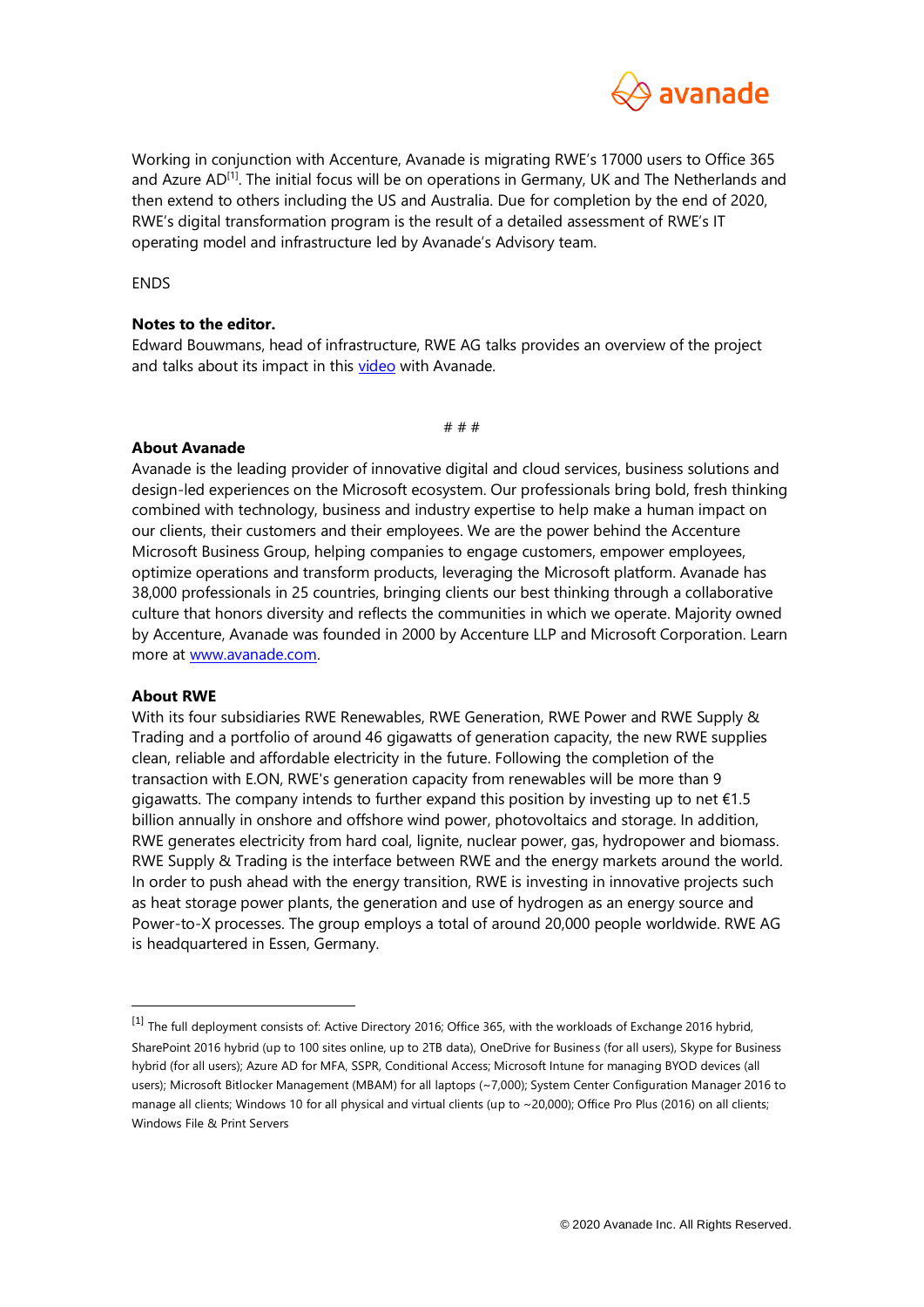

Working in conjunction with Accenture, Avanade is migrating RWE's 17000 users to Office 365 and Azure AD<sup>[1]</sup>. The initial focus will be on operations in Germany, UK and The Netherlands and then extend to others including the US and Australia. Due for completion by the end of 2020, RWE's digital transformation program is the result of a detailed assessment of RWE's IT operating model and infrastructure led by Avanade's Advisory team.

**FNDS** 

## **Notes to the editor.**

Edward Bouwmans, head of infrastructure, RWE AG talks provides an overview of the project and talks about its impact in this [video](https://www.avanade.com/en/clients/rwe?videoid=6126259366001) with Avanade.

# # #

## **About Avanade**

Avanade is the leading provider of innovative digital and cloud services, business solutions and design-led experiences on the Microsoft ecosystem. Our professionals bring bold, fresh thinking combined with technology, business and industry expertise to help make a human impact on our clients, their customers and their employees. We are the power behind the Accenture Microsoft Business Group, helping companies to engage customers, empower employees, optimize operations and transform products, leveraging the Microsoft platform. Avanade has 38,000 professionals in 25 countries, bringing clients our best thinking through a collaborative culture that honors diversity and reflects the communities in which we operate. Majority owned by Accenture, Avanade was founded in 2000 by Accenture LLP and Microsoft Corporation. Learn more at [www.avanade.com.](file:///C:/Users/Candice.Johnson/AppData/Local/Microsoft/Windows/INetCache/Content.Outlook/ZMJMPK5M/www.avanade.com)

## **About RWE**

 $\overline{a}$ 

With its four subsidiaries RWE Renewables, RWE Generation, RWE Power and RWE Supply & Trading and a portfolio of around 46 gigawatts of generation capacity, the new RWE supplies clean, reliable and affordable electricity in the future. Following the completion of the transaction with E.ON, RWE's generation capacity from renewables will be more than 9 gigawatts. The company intends to further expand this position by investing up to net €1.5 billion annually in onshore and offshore wind power, photovoltaics and storage. In addition, RWE generates electricity from hard coal, lignite, nuclear power, gas, hydropower and biomass. RWE Supply & Trading is the interface between RWE and the energy markets around the world. In order to push ahead with the energy transition, RWE is investing in innovative projects such as heat storage power plants, the generation and use of hydrogen as an energy source and Power-to-X processes. The group employs a total of around 20,000 people worldwide. RWE AG is headquartered in Essen, Germany.

<sup>[1]</sup> The full deployment consists of: Active Directory 2016; Office 365, with the workloads of Exchange 2016 hybrid, SharePoint 2016 hybrid (up to 100 sites online, up to 2TB data), OneDrive for Business (for all users), Skype for Business hybrid (for all users); Azure AD for MFA, SSPR, Conditional Access; Microsoft Intune for managing BYOD devices (all users); Microsoft Bitlocker Management (MBAM) for all laptops (~7,000); System Center Configuration Manager 2016 to manage all clients; Windows 10 for all physical and virtual clients (up to  $\sim$  20,000); Office Pro Plus (2016) on all clients; Windows File & Print Servers